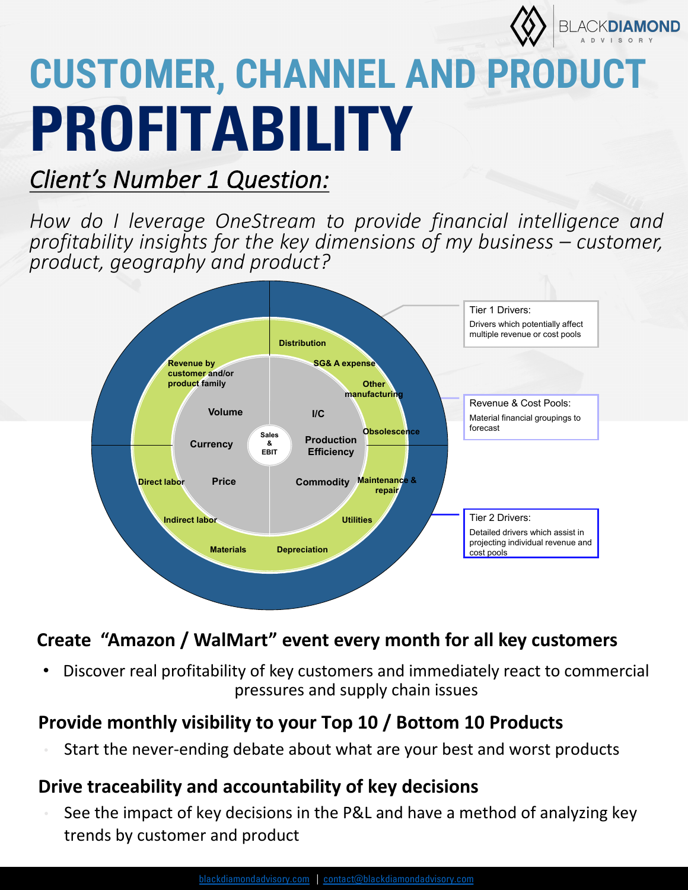

## **CUSTOMER, CHANNEL AND PRODUCT PROFITABILITY**

### *Client's Number 1 Question:*

*How do I leverage OneStream to provide financial intelligence and profitability insights for the key dimensions of my business – customer, product, geography and product?*



### **Create "Amazon / WalMart" event every month for all key customers**

• Discover real profitability of key customers and immediately react to commercial pressures and supply chain issues

### **Provide monthly visibility to your Top 10 / Bottom 10 Products**

Start the never-ending debate about what are your best and worst products

### **Drive traceability and accountability of key decisions**

• See the impact of key decisions in the P&L and have a method of analyzing key trends by customer and product